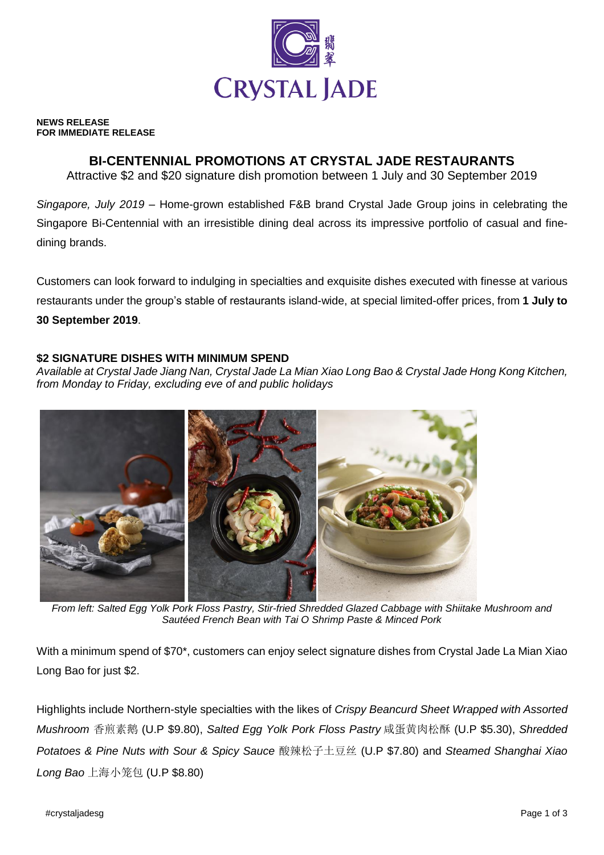

#### **NEWS RELEASE FOR IMMEDIATE RELEASE**

# **BI-CENTENNIAL PROMOTIONS AT CRYSTAL JADE RESTAURANTS**

Attractive \$2 and \$20 signature dish promotion between 1 July and 30 September 2019

*Singapore, July 2019* – Home-grown established F&B brand Crystal Jade Group joins in celebrating the Singapore Bi-Centennial with an irresistible dining deal across its impressive portfolio of casual and finedining brands.

Customers can look forward to indulging in specialties and exquisite dishes executed with finesse at various restaurants under the group's stable of restaurants island-wide, at special limited-offer prices, from **1 July to 30 September 2019**.

### **\$2 SIGNATURE DISHES WITH MINIMUM SPEND**

*Available at Crystal Jade Jiang Nan, Crystal Jade La Mian Xiao Long Bao & Crystal Jade Hong Kong Kitchen, from Monday to Friday, excluding eve of and public holidays*



*From left: Salted Egg Yolk Pork Floss Pastry, Stir-fried Shredded Glazed Cabbage with Shiitake Mushroom and Sautéed French Bean with Tai O Shrimp Paste & Minced Pork*

With a minimum spend of \$70\*, customers can enjoy select signature dishes from Crystal Jade La Mian Xiao Long Bao for just \$2.

Highlights include Northern-style specialties with the likes of *Crispy Beancurd Sheet Wrapped with Assorted Mushroom* 香煎素鹅 (U.P \$9.80), *Salted Egg Yolk Pork Floss Pastry* 咸蛋黄肉松酥 (U.P \$5.30), *Shredded Potatoes & Pine Nuts with Sour & Spicy Sauce* 酸辣松子土豆丝 (U.P \$7.80) and *Steamed Shanghai Xiao Long Bao* 上海小笼包 (U.P \$8.80)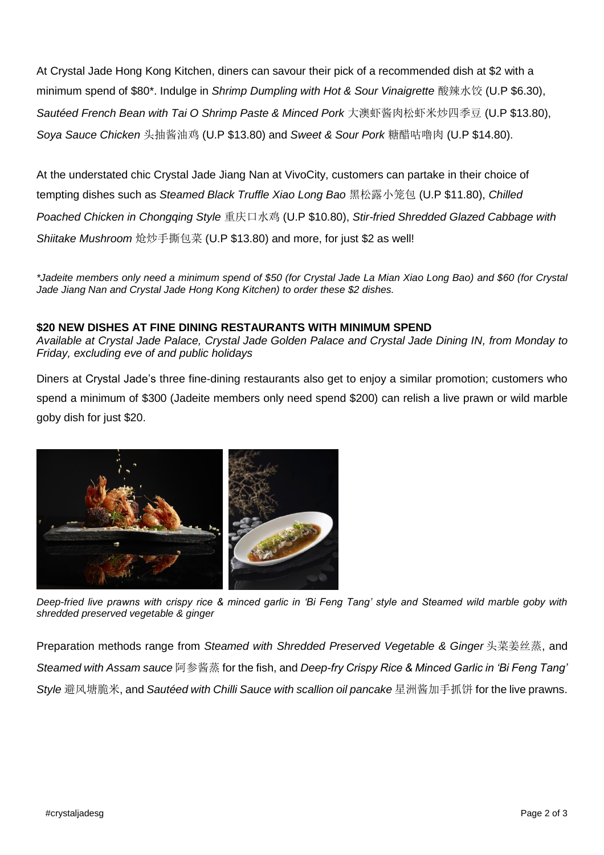At Crystal Jade Hong Kong Kitchen, diners can savour their pick of a recommended dish at \$2 with a minimum spend of \$80\*. Indulge in *Shrimp Dumpling with Hot & Sour Vinaigrette* 酸辣水饺 (U.P \$6.30), *Sautéed French Bean with Tai O Shrimp Paste & Minced Pork* 大澳虾酱肉松虾米炒四季豆 (U.P \$13.80), *Soya Sauce Chicken* 头抽酱油鸡 (U.P \$13.80) and *Sweet & Sour Pork* 糖醋咕噜肉 (U.P \$14.80).

At the understated chic Crystal Jade Jiang Nan at VivoCity, customers can partake in their choice of tempting dishes such as *Steamed Black Truffle Xiao Long Bao* 黑松露小笼包 (U.P \$11.80), *Chilled Poached Chicken in Chongqing Style* 重庆口水鸡 (U.P \$10.80), *Stir-fried Shredded Glazed Cabbage with Shiitake Mushroom* 炝炒手撕包菜 (U.P \$13.80) and more, for just \$2 as well!

*\*Jadeite members only need a minimum spend of \$50 (for Crystal Jade La Mian Xiao Long Bao) and \$60 (for Crystal Jade Jiang Nan and Crystal Jade Hong Kong Kitchen) to order these \$2 dishes.*

## **\$20 NEW DISHES AT FINE DINING RESTAURANTS WITH MINIMUM SPEND**

*Available at Crystal Jade Palace, Crystal Jade Golden Palace and Crystal Jade Dining IN, from Monday to Friday, excluding eve of and public holidays*

Diners at Crystal Jade's three fine-dining restaurants also get to enjoy a similar promotion; customers who spend a minimum of \$300 (Jadeite members only need spend \$200) can relish a live prawn or wild marble goby dish for just \$20.



*Deep-fried live prawns with crispy rice & minced garlic in 'Bi Feng Tang' style and Steamed wild marble goby with shredded preserved vegetable & ginger*

Preparation methods range from *Steamed with Shredded Preserved Vegetable & Ginger* 头菜姜丝蒸, and *Steamed with Assam sauce* 阿参酱蒸 for the fish, and *Deep-fry Crispy Rice & Minced Garlic in 'Bi Feng Tang' Style* 避风塘脆米, and *Sautéed with Chilli Sauce with scallion oil pancake* 星洲酱加手抓饼 for the live prawns.